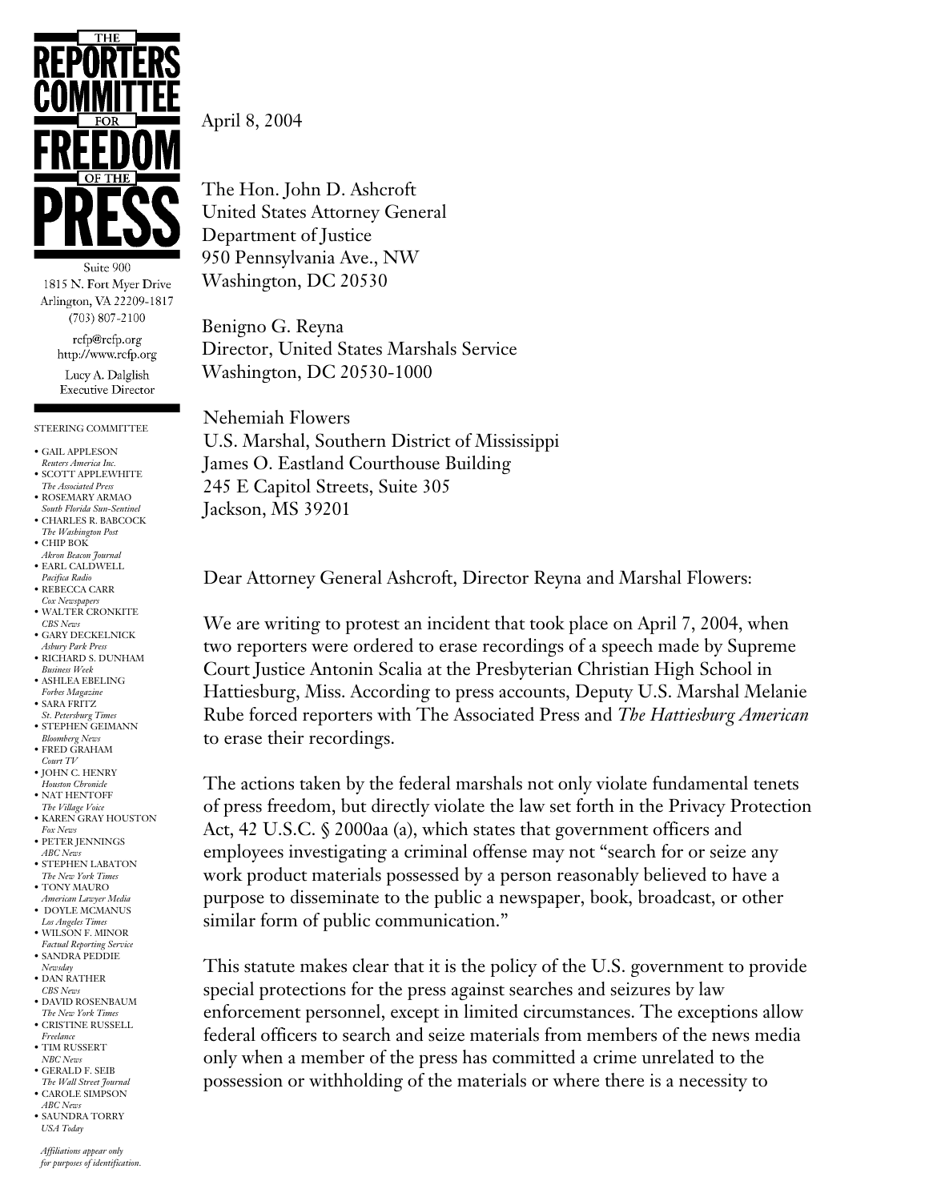

Suite 900 1815 N. Fort Myer Drive Arlington, VA 22209-1817  $(703) 807 - 2100$ 

> rcfp@rcfp.org http://www.rcfp.org

Lucy A. Dalglish **Executive Director** 

## STEERING COMMITTEE

- GAIL APPLESON
- *Reuters America Inc.*
- SCOTT APPLEWHITE *The Associated Press*
- ROSEMARY ARMAO *South Florida Sun-Sentinel* • CHARLES R. BABCOCK
- *The Washington Post*
- CHIP BOK *Akron Beacon Journal*
- EARL CALDWELL *Pacifica Radio*
- REBECCA CARR
- *Cox Newspapers*
- WALTER CRONKITE *CBS News* • GARY DECKELNICK
- *Asbury Park Press* • RICHARD S. DUNHAM
- *Business Week*
- ASHLEA EBELING *Forbes Magazine*
- SARA FRITZ
- *St. Petersburg Times* STEPHEN GEIMANN
- *Bloomberg News* FRED GRAHAM
- *Court TV* • JOHN C. HENRY
- *Houston Chronicle*
- NAT HENTOFF *The Village Voice*
- $\bullet$  KAREN GRAY HOUSTON *Fox News*
- PETER JENNINGS *ABC News*
- STEPHEN LABATON
- *The New York Times* • TONY MAURO
- *American Lawyer Media* • DOYLE MCMANUS
- *Los Angeles Times* • WILSON F. MINOR
- *Factual Reporting Service*
- SANDRA PEDDIE *Newsday* • DAN RATHER
- *CBS News*
- DAVID ROSENBAUM *The New York Times*
- CRISTINE RUSSELL *Freelance*
- TIM RUSSERT
- *NBC News* • GERALD F. SEIB
- *The Wall Street Journal* • CAROLE SIMPSON
- *ABC News* • SAUNDRA TORRY *USA Today*

*Affiliations appear only for purposes of identification.* April 8, 2004

The Hon. John D. Ashcroft United States Attorney General Department of Justice 950 Pennsylvania Ave., NW Washington, DC 20530

Benigno G. Reyna Director, United States Marshals Service Washington, DC 20530-1000

Nehemiah Flowers U.S. Marshal, Southern District of Mississippi James O. Eastland Courthouse Building 245 E Capitol Streets, Suite 305 Jackson, MS 39201

Dear Attorney General Ashcroft, Director Reyna and Marshal Flowers:

We are writing to protest an incident that took place on April 7, 2004, when two reporters were ordered to erase recordings of a speech made by Supreme Court Justice Antonin Scalia at the Presbyterian Christian High School in Hattiesburg, Miss. According to press accounts, Deputy U.S. Marshal Melanie Rube forced reporters with The Associated Press and *The Hattiesburg American* to erase their recordings.

The actions taken by the federal marshals not only violate fundamental tenets of press freedom, but directly violate the law set forth in the Privacy Protection Act, 42 U.S.C. § 2000aa (a), which states that government officers and employees investigating a criminal offense may not "search for or seize any work product materials possessed by a person reasonably believed to have a purpose to disseminate to the public a newspaper, book, broadcast, or other similar form of public communication."

This statute makes clear that it is the policy of the U.S. government to provide special protections for the press against searches and seizures by law enforcement personnel, except in limited circumstances. The exceptions allow federal officers to search and seize materials from members of the news media only when a member of the press has committed a crime unrelated to the possession or withholding of the materials or where there is a necessity to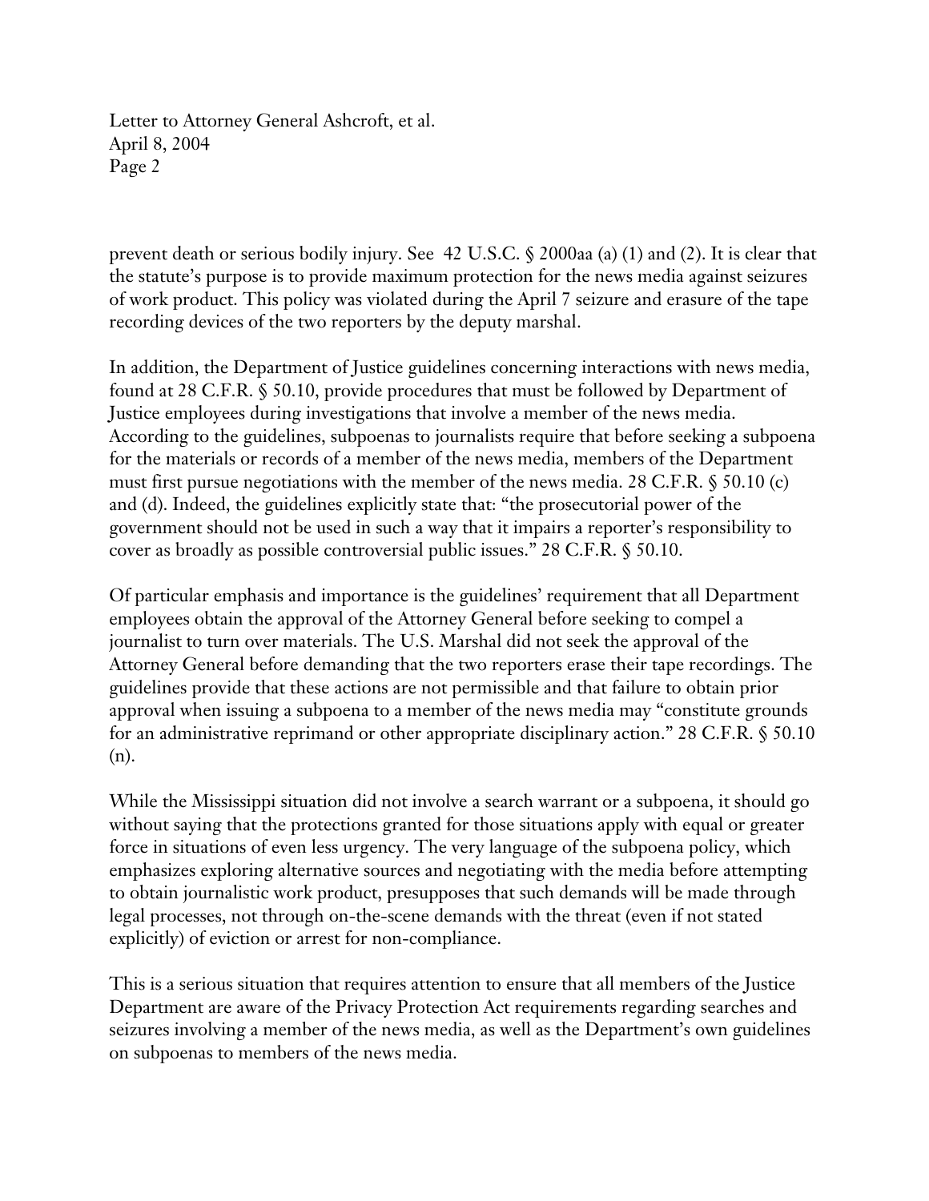Letter to Attorney General Ashcroft, et al. April 8, 2004 Page 2

prevent death or serious bodily injury. See 42 U.S.C. § 2000aa (a) (1) and (2). It is clear that the statute's purpose is to provide maximum protection for the news media against seizures of work product. This policy was violated during the April 7 seizure and erasure of the tape recording devices of the two reporters by the deputy marshal.

In addition, the Department of Justice guidelines concerning interactions with news media, found at 28 C.F.R. § 50.10, provide procedures that must be followed by Department of Justice employees during investigations that involve a member of the news media. According to the guidelines, subpoenas to journalists require that before seeking a subpoena for the materials or records of a member of the news media, members of the Department must first pursue negotiations with the member of the news media. 28 C.F.R. § 50.10 (c) and (d). Indeed, the guidelines explicitly state that: "the prosecutorial power of the government should not be used in such a way that it impairs a reporter's responsibility to cover as broadly as possible controversial public issues." 28 C.F.R. § 50.10.

Of particular emphasis and importance is the guidelines' requirement that all Department employees obtain the approval of the Attorney General before seeking to compel a journalist to turn over materials. The U.S. Marshal did not seek the approval of the Attorney General before demanding that the two reporters erase their tape recordings. The guidelines provide that these actions are not permissible and that failure to obtain prior approval when issuing a subpoena to a member of the news media may "constitute grounds for an administrative reprimand or other appropriate disciplinary action." 28 C.F.R. § 50.10 (n).

While the Mississippi situation did not involve a search warrant or a subpoena, it should go without saying that the protections granted for those situations apply with equal or greater force in situations of even less urgency. The very language of the subpoena policy, which emphasizes exploring alternative sources and negotiating with the media before attempting to obtain journalistic work product, presupposes that such demands will be made through legal processes, not through on-the-scene demands with the threat (even if not stated explicitly) of eviction or arrest for non-compliance.

This is a serious situation that requires attention to ensure that all members of the Justice Department are aware of the Privacy Protection Act requirements regarding searches and seizures involving a member of the news media, as well as the Department's own guidelines on subpoenas to members of the news media.